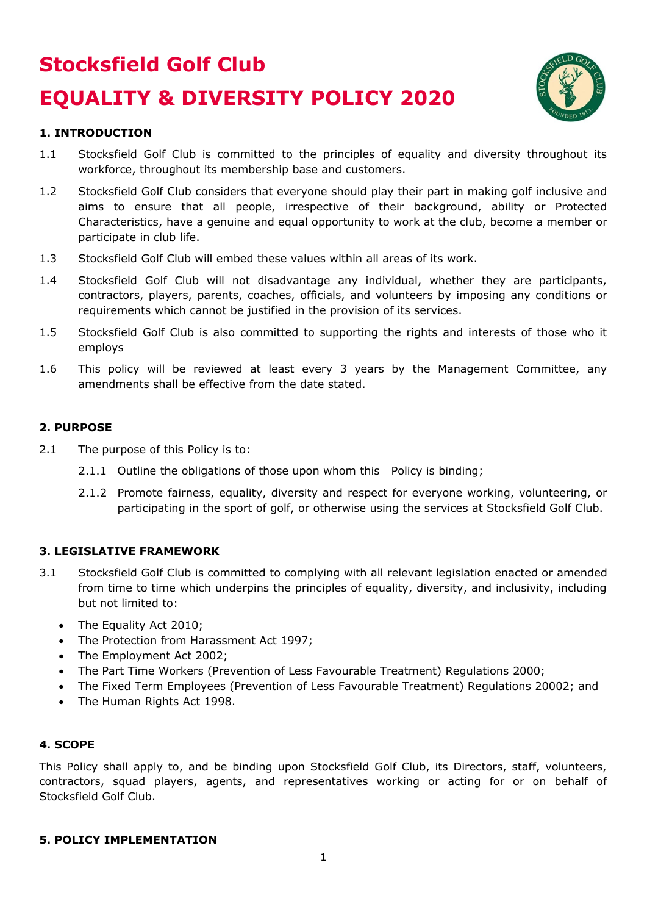# **Stocksfield Golf Club EQUALITY & DIVERSITY POLICY 2020**



# **1. INTRODUCTION**

- 1.1 Stocksfield Golf Club is committed to the principles of equality and diversity throughout its workforce, throughout its membership base and customers.
- 1.2 Stocksfield Golf Club considers that everyone should play their part in making golf inclusive and aims to ensure that all people, irrespective of their background, ability or Protected Characteristics, have a genuine and equal opportunity to work at the club, become a member or participate in club life.
- 1.3 Stocksfield Golf Club will embed these values within all areas of its work.
- 1.4 Stocksfield Golf Club will not disadvantage any individual, whether they are participants, contractors, players, parents, coaches, officials, and volunteers by imposing any conditions or requirements which cannot be justified in the provision of its services.
- 1.5 Stocksfield Golf Club is also committed to supporting the rights and interests of those who it employs
- 1.6 This policy will be reviewed at least every 3 years by the Management Committee, any amendments shall be effective from the date stated.

## **2. PURPOSE**

- 2.1 The purpose of this Policy is to:
	- 2.1.1 Outline the obligations of those upon whom this Policy is binding;
	- 2.1.2 Promote fairness, equality, diversity and respect for everyone working, volunteering, or participating in the sport of golf, or otherwise using the services at Stocksfield Golf Club.

### **3. LEGISLATIVE FRAMEWORK**

- 3.1 Stocksfield Golf Club is committed to complying with all relevant legislation enacted or amended from time to time which underpins the principles of equality, diversity, and inclusivity, including but not limited to:
	- The Equality Act 2010:
	- The Protection from Harassment Act 1997;
	- The Employment Act 2002;
	- The Part Time Workers (Prevention of Less Favourable Treatment) Regulations 2000;
	- The Fixed Term Employees (Prevention of Less Favourable Treatment) Regulations 20002; and
	- The Human Rights Act 1998.

### **4. SCOPE**

This Policy shall apply to, and be binding upon Stocksfield Golf Club, its Directors, staff, volunteers, contractors, squad players, agents, and representatives working or acting for or on behalf of Stocksfield Golf Club.

### **5. POLICY IMPLEMENTATION**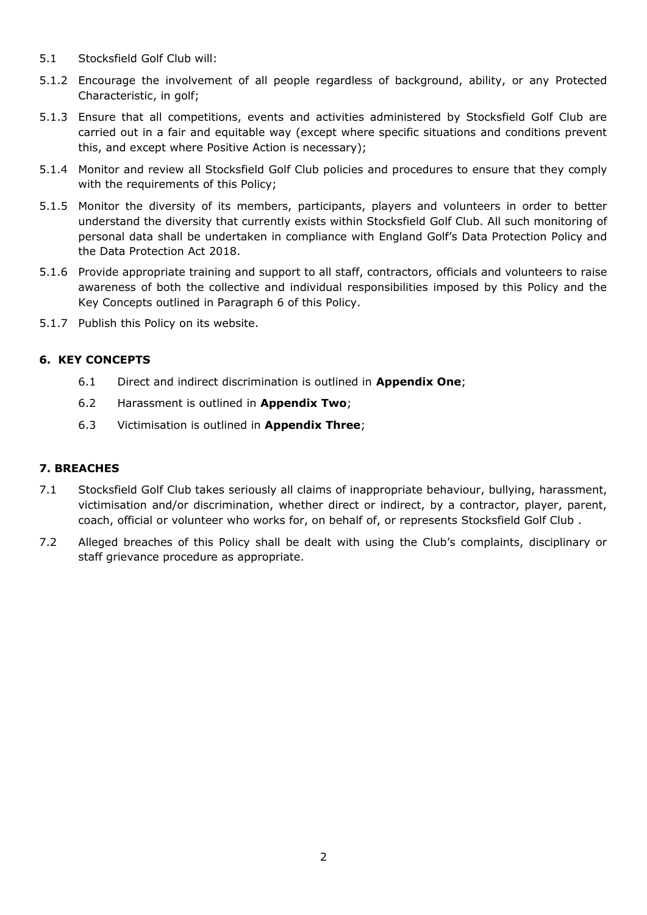- 5.1 Stocksfield Golf Club will:
- 5.1.2 Encourage the involvement of all people regardless of background, ability, or any Protected Characteristic, in golf;
- 5.1.3 Ensure that all competitions, events and activities administered by Stocksfield Golf Club are carried out in a fair and equitable way (except where specific situations and conditions prevent this, and except where Positive Action is necessary);
- 5.1.4 Monitor and review all Stocksfield Golf Club policies and procedures to ensure that they comply with the requirements of this Policy;
- 5.1.5 Monitor the diversity of its members, participants, players and volunteers in order to better understand the diversity that currently exists within Stocksfield Golf Club. All such monitoring of personal data shall be undertaken in compliance with England Golf's Data Protection Policy and the Data Protection Act 2018.
- 5.1.6 Provide appropriate training and support to all staff, contractors, officials and volunteers to raise awareness of both the collective and individual responsibilities imposed by this Policy and the Key Concepts outlined in Paragraph 6 of this Policy.
- 5.1.7 Publish this Policy on its website.

## **6. KEY CONCEPTS**

- 6.1 Direct and indirect discrimination is outlined in **Appendix One**;
- 6.2 Harassment is outlined in **Appendix Two**;
- 6.3 Victimisation is outlined in **Appendix Three**;

### **7. BREACHES**

- 7.1 Stocksfield Golf Club takes seriously all claims of inappropriate behaviour, bullying, harassment, victimisation and/or discrimination, whether direct or indirect, by a contractor, player, parent, coach, official or volunteer who works for, on behalf of, or represents Stocksfield Golf Club .
- 7.2 Alleged breaches of this Policy shall be dealt with using the Club's complaints, disciplinary or staff grievance procedure as appropriate.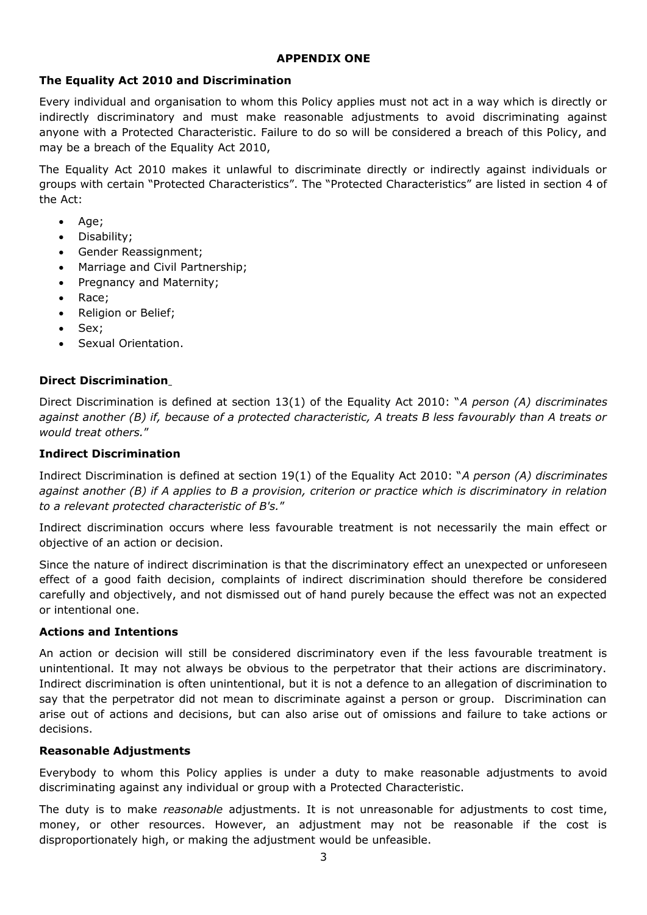#### **APPENDIX ONE**

## **The Equality Act 2010 and Discrimination**

Every individual and organisation to whom this Policy applies must not act in a way which is directly or indirectly discriminatory and must make reasonable adjustments to avoid discriminating against anyone with a Protected Characteristic. Failure to do so will be considered a breach of this Policy, and may be a breach of the Equality Act 2010,

The Equality Act 2010 makes it unlawful to discriminate directly or indirectly against individuals or groups with certain "Protected Characteristics". The "Protected Characteristics" are listed in section 4 of the Act:

- Age:
- Disability;
- Gender Reassignment;
- Marriage and Civil Partnership;
- Pregnancy and Maternity;
- Race;
- Religion or Belief;
- Sex;
- Sexual Orientation.

## **Direct Discrimination**

Direct Discrimination is defined at section 13(1) of the Equality Act 2010: "*A person (A) discriminates against another (B) if, because of a protected characteristic, A treats B less favourably than A treats or would treat others.*"

### **Indirect Discrimination**

Indirect Discrimination is defined at section 19(1) of the Equality Act 2010: "*A person (A) discriminates against another (B) if A applies to B a provision, criterion or practice which is discriminatory in relation to a relevant protected characteristic of B's.*"

Indirect discrimination occurs where less favourable treatment is not necessarily the main effect or objective of an action or decision.

Since the nature of indirect discrimination is that the discriminatory effect an unexpected or unforeseen effect of a good faith decision, complaints of indirect discrimination should therefore be considered carefully and objectively, and not dismissed out of hand purely because the effect was not an expected or intentional one.

### **Actions and Intentions**

An action or decision will still be considered discriminatory even if the less favourable treatment is unintentional. It may not always be obvious to the perpetrator that their actions are discriminatory. Indirect discrimination is often unintentional, but it is not a defence to an allegation of discrimination to say that the perpetrator did not mean to discriminate against a person or group. Discrimination can arise out of actions and decisions, but can also arise out of omissions and failure to take actions or decisions.

### **Reasonable Adjustments**

Everybody to whom this Policy applies is under a duty to make reasonable adjustments to avoid discriminating against any individual or group with a Protected Characteristic.

The duty is to make *reasonable* adjustments. It is not unreasonable for adjustments to cost time, money, or other resources. However, an adjustment may not be reasonable if the cost is disproportionately high, or making the adjustment would be unfeasible.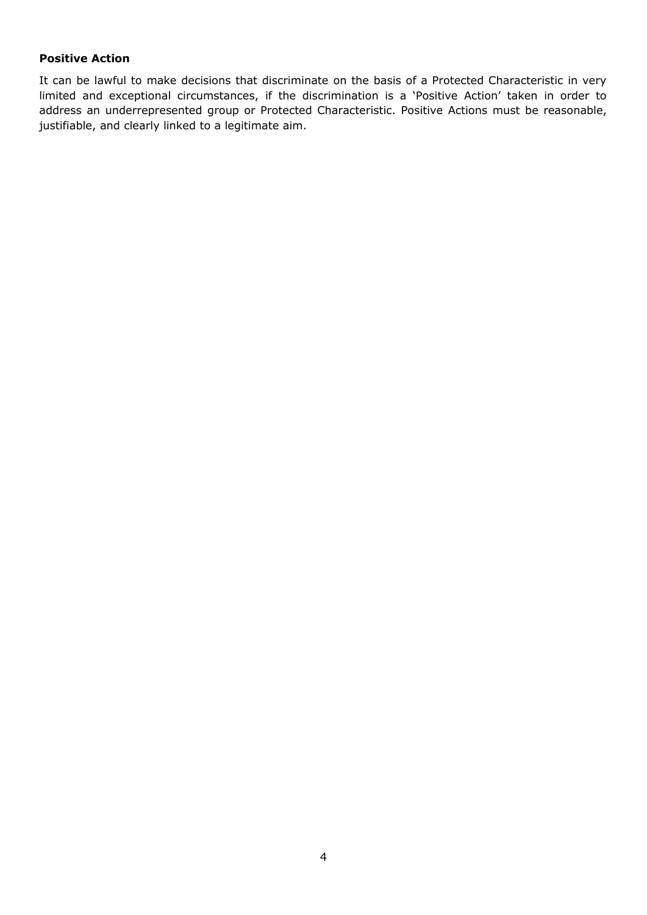## **Positive Action**

It can be lawful to make decisions that discriminate on the basis of a Protected Characteristic in very limited and exceptional circumstances, if the discrimination is a 'Positive Action' taken in order to address an underrepresented group or Protected Characteristic. Positive Actions must be reasonable, justifiable, and clearly linked to a legitimate aim.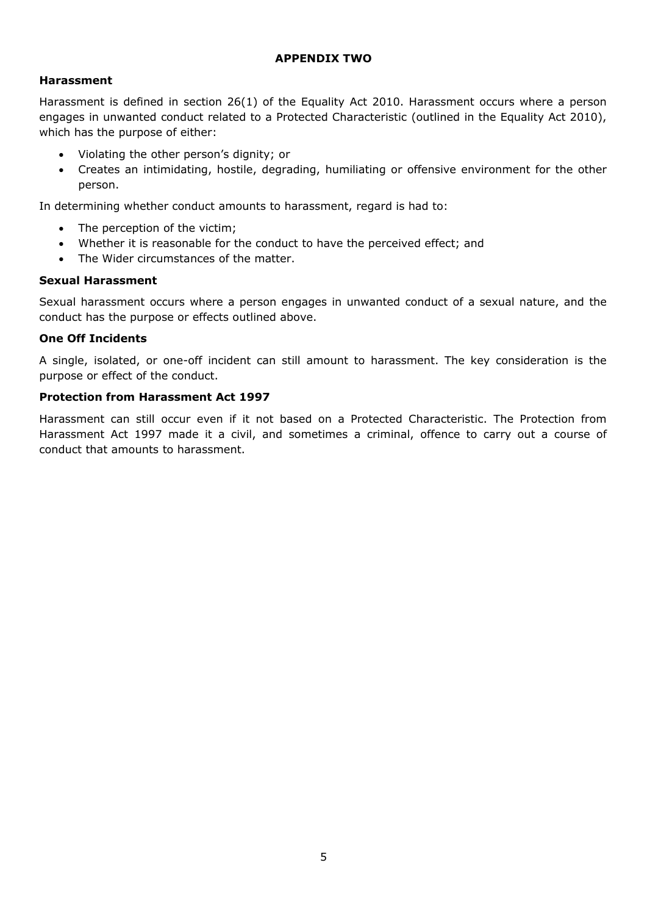#### **APPENDIX TWO**

### **Harassment**

Harassment is defined in section 26(1) of the Equality Act 2010. Harassment occurs where a person engages in unwanted conduct related to a Protected Characteristic (outlined in the Equality Act 2010), which has the purpose of either:

- Violating the other person's dignity; or
- Creates an intimidating, hostile, degrading, humiliating or offensive environment for the other person.

In determining whether conduct amounts to harassment, regard is had to:

- The perception of the victim;
- Whether it is reasonable for the conduct to have the perceived effect; and
- The Wider circumstances of the matter.

## **Sexual Harassment**

Sexual harassment occurs where a person engages in unwanted conduct of a sexual nature, and the conduct has the purpose or effects outlined above.

### **One Off Incidents**

A single, isolated, or one-off incident can still amount to harassment. The key consideration is the purpose or effect of the conduct.

### **Protection from Harassment Act 1997**

Harassment can still occur even if it not based on a Protected Characteristic. The Protection from Harassment Act 1997 made it a civil, and sometimes a criminal, offence to carry out a course of conduct that amounts to harassment.